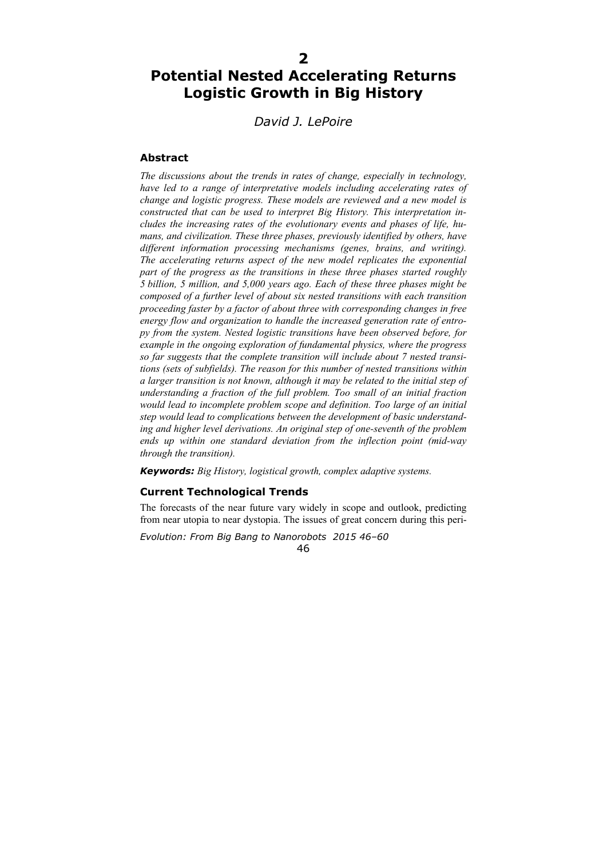# **Potential Nested Accelerating Returns Logistic Growth in Big History**

# *David J. LePoire*

## **Abstract**

*The discussions about the trends in rates of change, especially in technology, have led to a range of interpretative models including accelerating rates of change and logistic progress. These models are reviewed and a new model is constructed that can be used to interpret Big History. This interpretation includes the increasing rates of the evolutionary events and phases of life, humans, and civilization. These three phases, previously identified by others, have different information processing mechanisms (genes, brains, and writing). The accelerating returns aspect of the new model replicates the exponential part of the progress as the transitions in these three phases started roughly 5 billion, 5 million, and 5,000 years ago. Each of these three phases might be composed of a further level of about six nested transitions with each transition proceeding faster by a factor of about three with corresponding changes in free energy flow and organization to handle the increased generation rate of entropy from the system. Nested logistic transitions have been observed before, for example in the ongoing exploration of fundamental physics, where the progress so far suggests that the complete transition will include about 7 nested transitions (sets of subfields). The reason for this number of nested transitions within a larger transition is not known, although it may be related to the initial step of understanding a fraction of the full problem. Too small of an initial fraction would lead to incomplete problem scope and definition. Too large of an initial step would lead to complications between the development of basic understanding and higher level derivations. An original step of one-seventh of the problem ends up within one standard deviation from the inflection point (mid-way through the transition).* 

*Keywords: Big History, logistical growth, complex adaptive systems.* 

## **Current Technological Trends**

The forecasts of the near future vary widely in scope and outlook, predicting from near utopia to near dystopia. The issues of great concern during this peri-

*Evolution: From Big Bang to Nanorobots 2015 46–60* 

46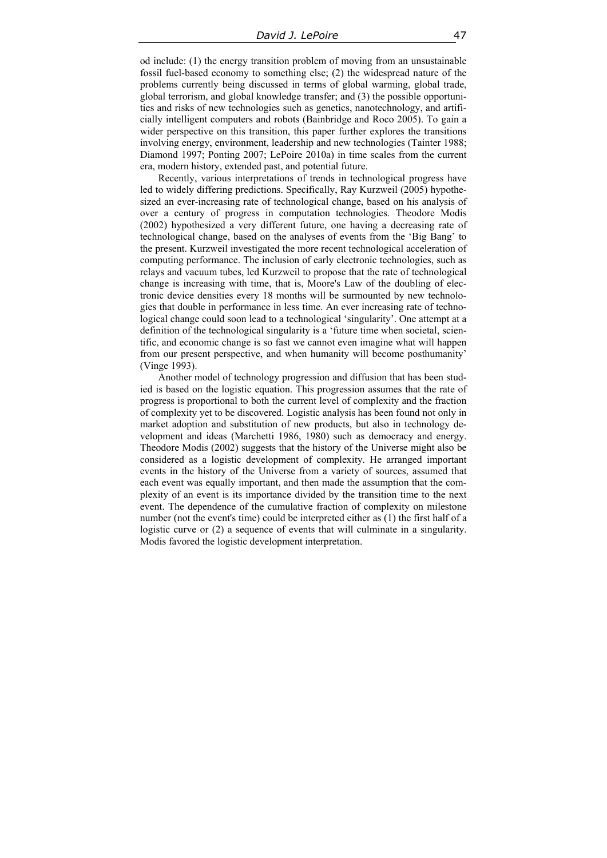od include: (1) the energy transition problem of moving from an unsustainable fossil fuel-based economy to something else; (2) the widespread nature of the problems currently being discussed in terms of global warming, global trade, global terrorism, and global knowledge transfer; and (3) the possible opportunities and risks of new technologies such as genetics, nanotechnology, and artificially intelligent computers and robots (Bainbridge and Roco 2005). To gain a wider perspective on this transition, this paper further explores the transitions involving energy, environment, leadership and new technologies (Tainter 1988; Diamond 1997; Ponting 2007; LePoire 2010a) in time scales from the current era, modern history, extended past, and potential future.

Recently, various interpretations of trends in technological progress have led to widely differing predictions. Specifically, Ray Kurzweil (2005) hypothesized an ever-increasing rate of technological change, based on his analysis of over a century of progress in computation technologies. Theodore Modis (2002) hypothesized a very different future, one having a decreasing rate of technological change, based on the analyses of events from the 'Big Bang' to the present. Kurzweil investigated the more recent technological acceleration of computing performance. The inclusion of early electronic technologies, such as relays and vacuum tubes, led Kurzweil to propose that the rate of technological change is increasing with time, that is, Moore's Law of the doubling of electronic device densities every 18 months will be surmounted by new technologies that double in performance in less time. An ever increasing rate of technological change could soon lead to a technological 'singularity'. One attempt at a definition of the technological singularity is a 'future time when societal, scientific, and economic change is so fast we cannot even imagine what will happen from our present perspective, and when humanity will become posthumanity' (Vinge 1993).

Another model of technology progression and diffusion that has been studied is based on the logistic equation. This progression assumes that the rate of progress is proportional to both the current level of complexity and the fraction of complexity yet to be discovered. Logistic analysis has been found not only in market adoption and substitution of new products, but also in technology development and ideas (Marchetti 1986, 1980) such as democracy and energy. Theodore Modis (2002) suggests that the history of the Universe might also be considered as a logistic development of complexity. He arranged important events in the history of the Universe from a variety of sources, assumed that each event was equally important, and then made the assumption that the complexity of an event is its importance divided by the transition time to the next event. The dependence of the cumulative fraction of complexity on milestone number (not the event's time) could be interpreted either as (1) the first half of a logistic curve or (2) a sequence of events that will culminate in a singularity. Modis favored the logistic development interpretation.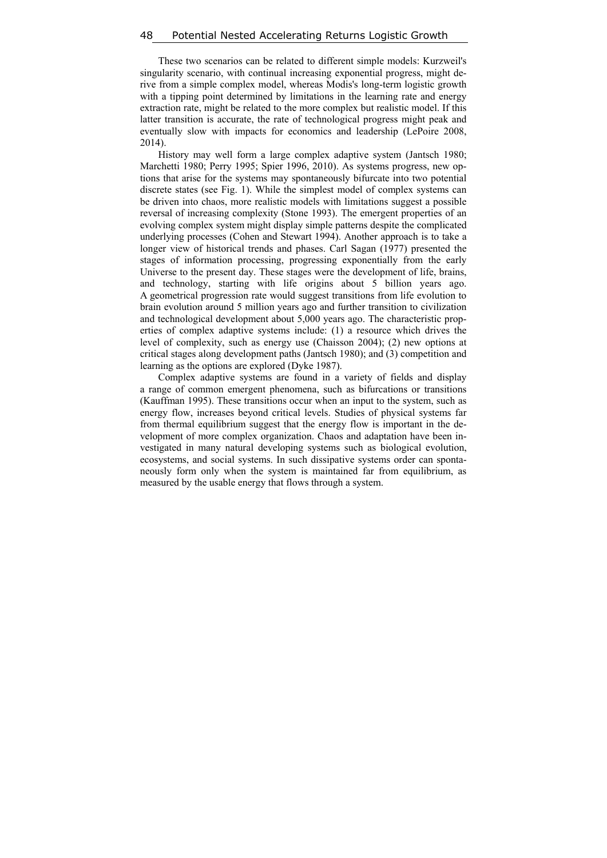These two scenarios can be related to different simple models: Kurzweil's singularity scenario, with continual increasing exponential progress, might derive from a simple complex model, whereas Modis's long-term logistic growth with a tipping point determined by limitations in the learning rate and energy extraction rate, might be related to the more complex but realistic model. If this latter transition is accurate, the rate of technological progress might peak and eventually slow with impacts for economics and leadership (LePoire 2008, 2014).

History may well form a large complex adaptive system (Jantsch 1980; Marchetti 1980; Perry 1995; Spier 1996, 2010). As systems progress, new options that arise for the systems may spontaneously bifurcate into two potential discrete states (see Fig. 1). While the simplest model of complex systems can be driven into chaos, more realistic models with limitations suggest a possible reversal of increasing complexity (Stone 1993). The emergent properties of an evolving complex system might display simple patterns despite the complicated underlying processes (Cohen and Stewart 1994). Another approach is to take a longer view of historical trends and phases. Carl Sagan (1977) presented the stages of information processing, progressing exponentially from the early Universe to the present day. These stages were the development of life, brains, and technology, starting with life origins about 5 billion years ago. A geometrical progression rate would suggest transitions from life evolution to brain evolution around 5 million years ago and further transition to civilization and technological development about 5,000 years ago. The characteristic properties of complex adaptive systems include: (1) a resource which drives the level of complexity, such as energy use (Chaisson 2004); (2) new options at critical stages along development paths (Jantsch 1980); and (3) competition and learning as the options are explored (Dyke 1987).

Complex adaptive systems are found in a variety of fields and display a range of common emergent phenomena, such as bifurcations or transitions (Kauffman 1995). These transitions occur when an input to the system, such as energy flow, increases beyond critical levels. Studies of physical systems far from thermal equilibrium suggest that the energy flow is important in the development of more complex organization. Chaos and adaptation have been investigated in many natural developing systems such as biological evolution, ecosystems, and social systems. In such dissipative systems order can spontaneously form only when the system is maintained far from equilibrium, as measured by the usable energy that flows through a system.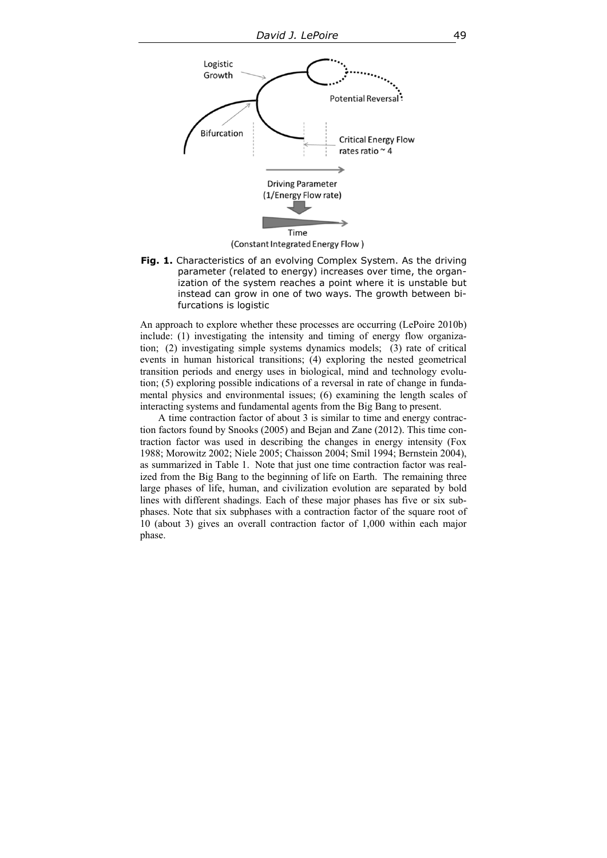

**Fig. 1.** Characteristics of an evolving Complex System. As the driving parameter (related to energy) increases over time, the organization of the system reaches a point where it is unstable but instead can grow in one of two ways. The growth between bifurcations is logistic

An approach to explore whether these processes are occurring (LePoire 2010b) include: (1) investigating the intensity and timing of energy flow organization; (2) investigating simple systems dynamics models; (3) rate of critical events in human historical transitions; (4) exploring the nested geometrical transition periods and energy uses in biological, mind and technology evolution; (5) exploring possible indications of a reversal in rate of change in fundamental physics and environmental issues; (6) examining the length scales of interacting systems and fundamental agents from the Big Bang to present.

A time contraction factor of about 3 is similar to time and energy contraction factors found by Snooks (2005) and Bejan and Zane (2012). This time contraction factor was used in describing the changes in energy intensity (Fox 1988; Morowitz 2002; Niele 2005; Chaisson 2004; Smil 1994; Bernstein 2004), as summarized in Table 1. Note that just one time contraction factor was realized from the Big Bang to the beginning of life on Earth. The remaining three large phases of life, human, and civilization evolution are separated by bold lines with different shadings. Each of these major phases has five or six subphases. Note that six subphases with a contraction factor of the square root of 10 (about 3) gives an overall contraction factor of 1,000 within each major phase.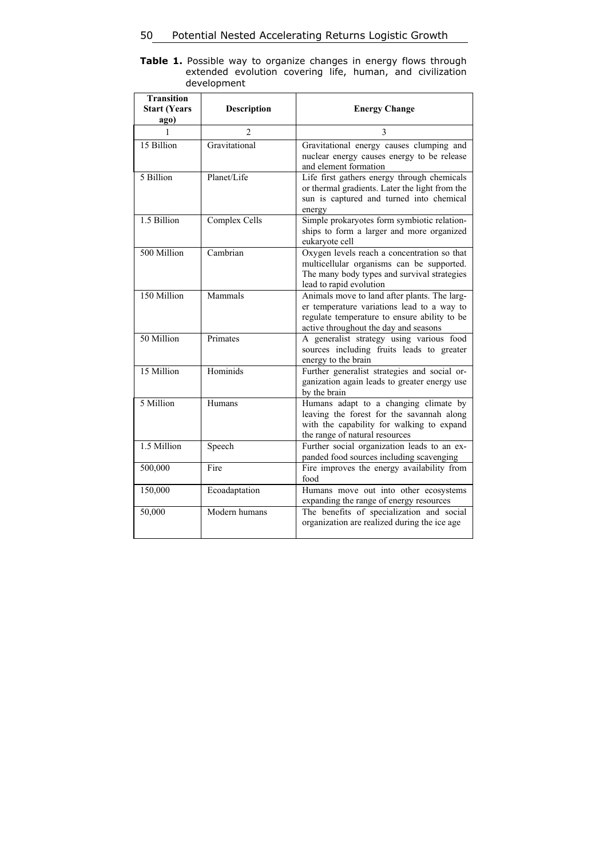**Table 1.** Possible way to organize changes in energy flows through extended evolution covering life, human, and civilization development

| <b>Transition</b><br><b>Start (Years</b><br>ago) | <b>Description</b> | <b>Energy Change</b>                                                                                                                                                                |
|--------------------------------------------------|--------------------|-------------------------------------------------------------------------------------------------------------------------------------------------------------------------------------|
| 1                                                | $\overline{2}$     | 3                                                                                                                                                                                   |
| 15 Billion                                       | Gravitational      | Gravitational energy causes clumping and<br>nuclear energy causes energy to be release<br>and element formation                                                                     |
| 5 Billion                                        | Planet/Life        | Life first gathers energy through chemicals<br>or thermal gradients. Later the light from the<br>sun is captured and turned into chemical<br>energy                                 |
| 1.5 Billion                                      | Complex Cells      | Simple prokaryotes form symbiotic relation-<br>ships to form a larger and more organized<br>eukaryote cell                                                                          |
| 500 Million                                      | Cambrian           | Oxygen levels reach a concentration so that<br>multicellular organisms can be supported.<br>The many body types and survival strategies<br>lead to rapid evolution                  |
| 150 Million                                      | Mammals            | Animals move to land after plants. The larg-<br>er temperature variations lead to a way to<br>regulate temperature to ensure ability to be<br>active throughout the day and seasons |
| 50 Million                                       | Primates           | A generalist strategy using various food<br>sources including fruits leads to greater<br>energy to the brain                                                                        |
| 15 Million                                       | Hominids           | Further generalist strategies and social or-<br>ganization again leads to greater energy use<br>by the brain                                                                        |
| 5 Million                                        | Humans             | Humans adapt to a changing climate by<br>leaving the forest for the savannah along<br>with the capability for walking to expand<br>the range of natural resources                   |
| 1.5 Million                                      | Speech             | Further social organization leads to an ex-<br>panded food sources including scavenging                                                                                             |
| 500,000                                          | Fire               | Fire improves the energy availability from<br>food                                                                                                                                  |
| 150,000                                          | Ecoadaptation      | Humans move out into other ecosystems<br>expanding the range of energy resources                                                                                                    |
| 50,000                                           | Modern humans      | The benefits of specialization and social<br>organization are realized during the ice age                                                                                           |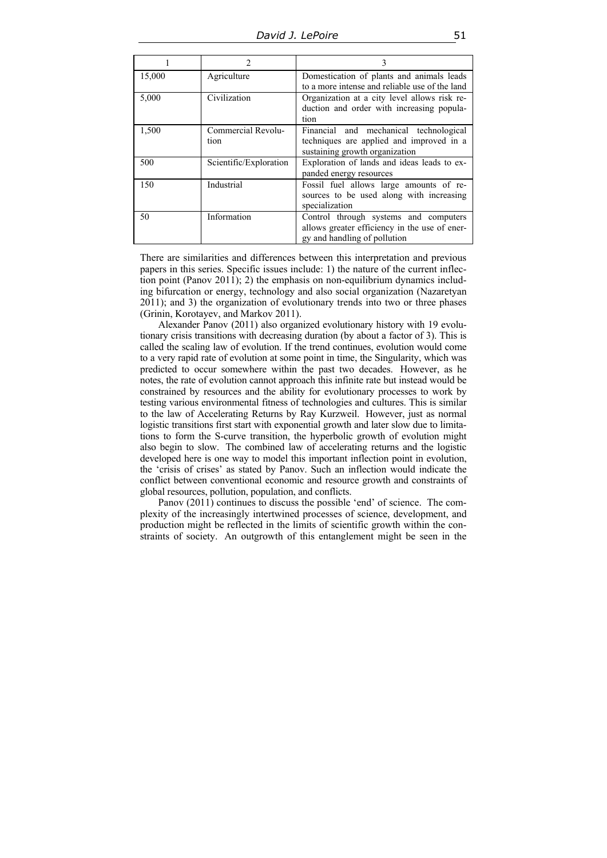|        |                        | 3                                              |
|--------|------------------------|------------------------------------------------|
| 15,000 | Agriculture            | Domestication of plants and animals leads      |
|        |                        | to a more intense and reliable use of the land |
| 5,000  | Civilization           | Organization at a city level allows risk re-   |
|        |                        | duction and order with increasing popula-      |
|        |                        | tion                                           |
| 1,500  | Commercial Revolu-     | Financial and mechanical technological         |
|        | tion                   | techniques are applied and improved in a       |
|        |                        | sustaining growth organization                 |
| 500    | Scientific/Exploration | Exploration of lands and ideas leads to ex-    |
|        |                        | panded energy resources                        |
| 150    | Industrial             | Fossil fuel allows large amounts of re-        |
|        |                        | sources to be used along with increasing       |
|        |                        | specialization                                 |
| 50     | Information            | Control through systems and computers          |
|        |                        | allows greater efficiency in the use of ener-  |
|        |                        | gy and handling of pollution                   |

There are similarities and differences between this interpretation and previous papers in this series. Specific issues include: 1) the nature of the current inflection point (Panov 2011); 2) the emphasis on non-equilibrium dynamics including bifurcation or energy, technology and also social organization (Nazaretyan 2011); and 3) the organization of evolutionary trends into two or three phases (Grinin, Korotayev, and Markov 2011).

Alexander Panov (2011) also organized evolutionary history with 19 evolutionary crisis transitions with decreasing duration (by about a factor of 3). This is called the scaling law of evolution. If the trend continues, evolution would come to a very rapid rate of evolution at some point in time, the Singularity, which was predicted to occur somewhere within the past two decades. However, as he notes, the rate of evolution cannot approach this infinite rate but instead would be constrained by resources and the ability for evolutionary processes to work by testing various environmental fitness of technologies and cultures. This is similar to the law of Accelerating Returns by Ray Kurzweil. However, just as normal logistic transitions first start with exponential growth and later slow due to limitations to form the S-curve transition, the hyperbolic growth of evolution might also begin to slow. The combined law of accelerating returns and the logistic developed here is one way to model this important inflection point in evolution, the 'crisis of crises' as stated by Panov. Such an inflection would indicate the conflict between conventional economic and resource growth and constraints of global resources, pollution, population, and conflicts.

Panov (2011) continues to discuss the possible 'end' of science. The complexity of the increasingly intertwined processes of science, development, and production might be reflected in the limits of scientific growth within the constraints of society. An outgrowth of this entanglement might be seen in the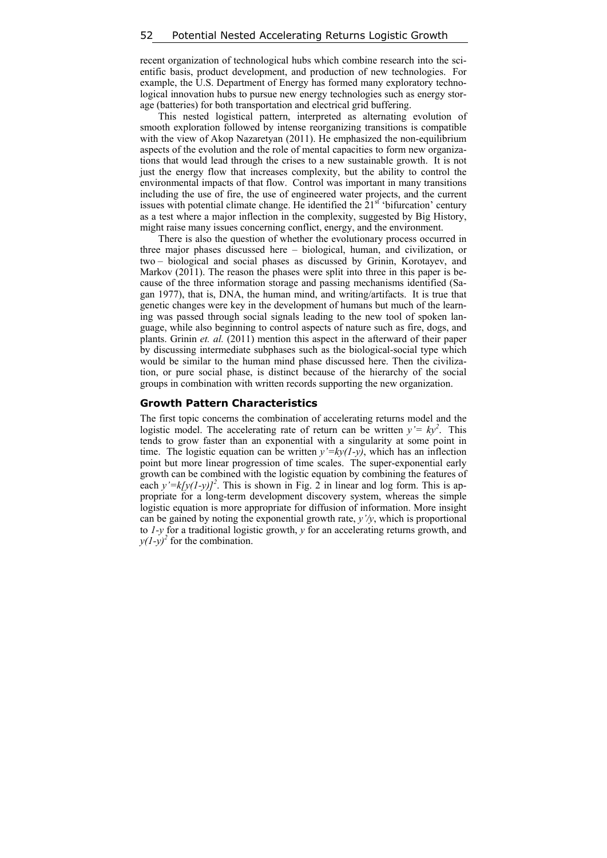recent organization of technological hubs which combine research into the scientific basis, product development, and production of new technologies. For example, the U.S. Department of Energy has formed many exploratory technological innovation hubs to pursue new energy technologies such as energy storage (batteries) for both transportation and electrical grid buffering.

This nested logistical pattern, interpreted as alternating evolution of smooth exploration followed by intense reorganizing transitions is compatible with the view of Akop Nazaretyan (2011). He emphasized the non-equilibrium aspects of the evolution and the role of mental capacities to form new organizations that would lead through the crises to a new sustainable growth. It is not just the energy flow that increases complexity, but the ability to control the environmental impacts of that flow. Control was important in many transitions including the use of fire, the use of engineered water projects, and the current issues with potential climate change. He identified the  $21<sup>st</sup>$  'bifurcation' century as a test where a major inflection in the complexity, suggested by Big History, might raise many issues concerning conflict, energy, and the environment.

There is also the question of whether the evolutionary process occurred in three major phases discussed here – biological, human, and civilization, or two – biological and social phases as discussed by Grinin, Korotayev, and Markov (2011). The reason the phases were split into three in this paper is because of the three information storage and passing mechanisms identified (Sagan 1977), that is, DNA, the human mind, and writing/artifacts. It is true that genetic changes were key in the development of humans but much of the learning was passed through social signals leading to the new tool of spoken language, while also beginning to control aspects of nature such as fire, dogs, and plants. Grinin *et. al.* (2011) mention this aspect in the afterward of their paper by discussing intermediate subphases such as the biological-social type which would be similar to the human mind phase discussed here. Then the civilization, or pure social phase, is distinct because of the hierarchy of the social groups in combination with written records supporting the new organization.

#### **Growth Pattern Characteristics**

The first topic concerns the combination of accelerating returns model and the logistic model. The accelerating rate of return can be written  $y = ky^2$ . This tends to grow faster than an exponential with a singularity at some point in time. The logistic equation can be written  $y'=ky(1-y)$ , which has an inflection point but more linear progression of time scales. The super-exponential early growth can be combined with the logistic equation by combining the features of each  $y' = k[y(1-y)]^2$ . This is shown in Fig. 2 in linear and log form. This is appropriate for a long-term development discovery system, whereas the simple logistic equation is more appropriate for diffusion of information. More insight can be gained by noting the exponential growth rate, *y'/y*, which is proportional to *1-y* for a traditional logistic growth, *y* for an accelerating returns growth, and  $y(1-y)^2$  for the combination.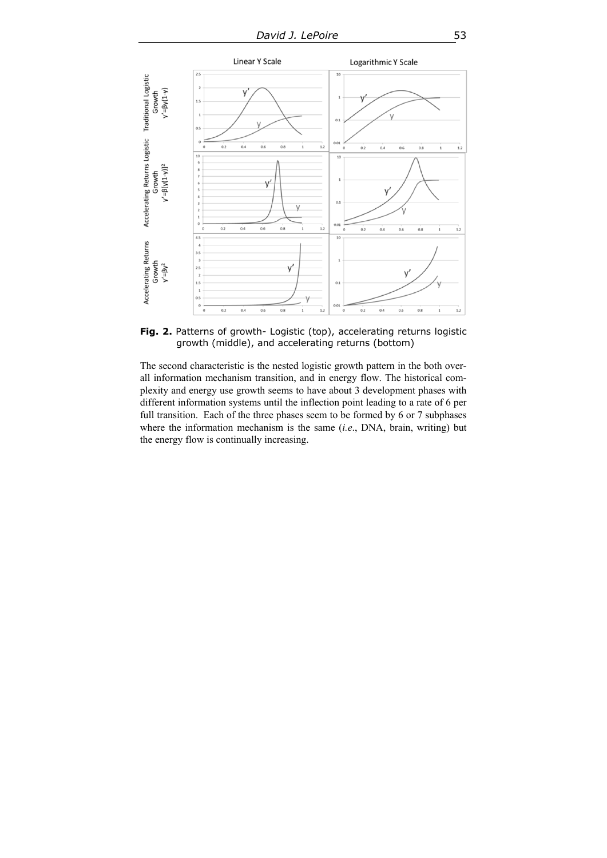

Fig. 2. Patterns of growth- Logistic (top), accelerating returns logistic growth (middle), and accelerating returns (bottom)

The second characteristic is the nested logistic growth pattern in the both overall information mechanism transition, and in energy flow. The historical complexity and energy use growth seems to have about 3 development phases with different information systems until the inflection point leading to a rate of 6 per full transition. Each of the three phases seem to be formed by 6 or 7 subphases where the information mechanism is the same (*i.e*., DNA, brain, writing) but the energy flow is continually increasing.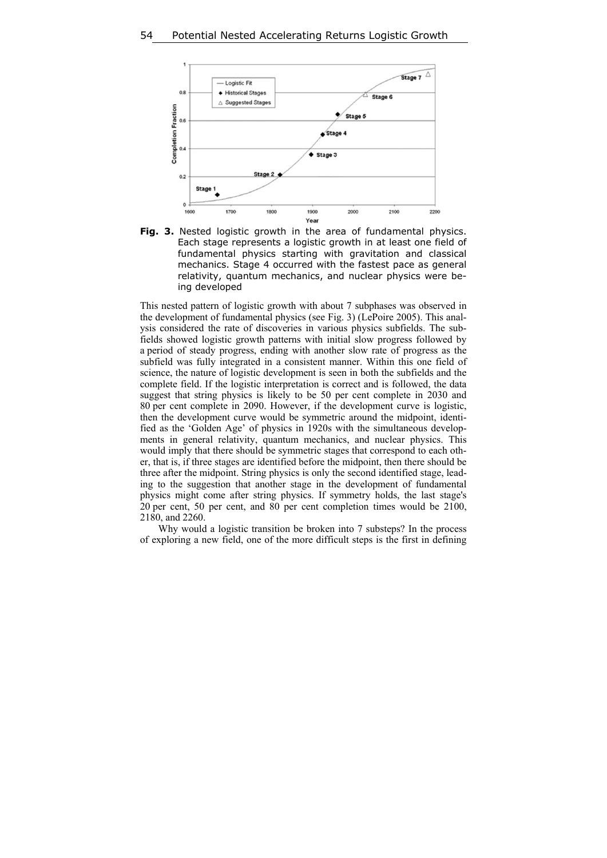



This nested pattern of logistic growth with about 7 subphases was observed in the development of fundamental physics (see Fig. 3) (LePoire 2005). This analysis considered the rate of discoveries in various physics subfields. The subfields showed logistic growth patterns with initial slow progress followed by a period of steady progress, ending with another slow rate of progress as the subfield was fully integrated in a consistent manner. Within this one field of science, the nature of logistic development is seen in both the subfields and the complete field. If the logistic interpretation is correct and is followed, the data suggest that string physics is likely to be 50 per cent complete in 2030 and 80 per cent complete in 2090. However, if the development curve is logistic, then the development curve would be symmetric around the midpoint, identified as the 'Golden Age' of physics in 1920s with the simultaneous developments in general relativity, quantum mechanics, and nuclear physics. This would imply that there should be symmetric stages that correspond to each other, that is, if three stages are identified before the midpoint, then there should be three after the midpoint. String physics is only the second identified stage, leading to the suggestion that another stage in the development of fundamental physics might come after string physics. If symmetry holds, the last stage's 20 per cent, 50 per cent, and 80 per cent completion times would be 2100, 2180, and 2260.

Why would a logistic transition be broken into 7 substeps? In the process of exploring a new field, one of the more difficult steps is the first in defining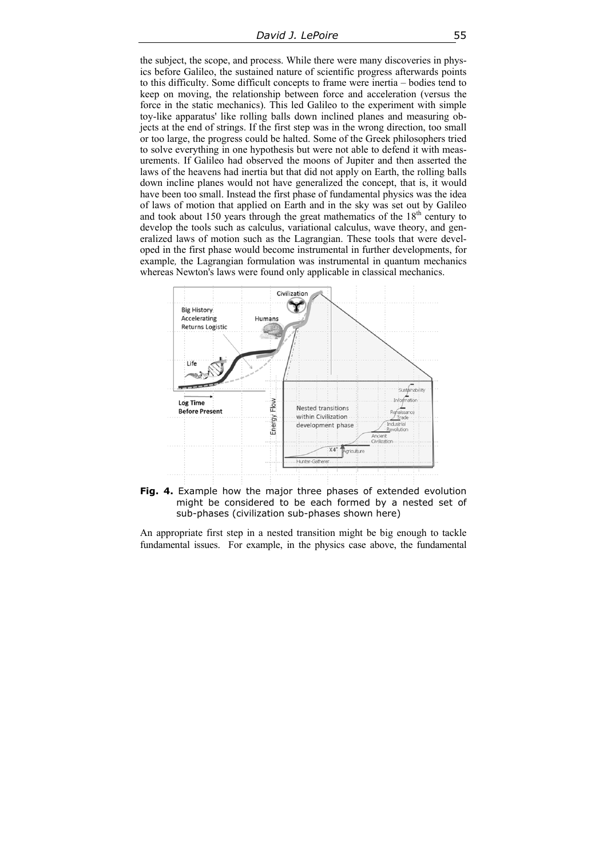the subject, the scope, and process. While there were many discoveries in physics before Galileo, the sustained nature of scientific progress afterwards points to this difficulty. Some difficult concepts to frame were inertia – bodies tend to keep on moving, the relationship between force and acceleration (versus the force in the static mechanics). This led Galileo to the experiment with simple toy-like apparatus' like rolling balls down inclined planes and measuring objects at the end of strings. If the first step was in the wrong direction, too small or too large, the progress could be halted. Some of the Greek philosophers tried to solve everything in one hypothesis but were not able to defend it with measurements. If Galileo had observed the moons of Jupiter and then asserted the laws of the heavens had inertia but that did not apply on Earth, the rolling balls down incline planes would not have generalized the concept, that is, it would have been too small. Instead the first phase of fundamental physics was the idea of laws of motion that applied on Earth and in the sky was set out by Galileo and took about 150 years through the great mathematics of the  $18<sup>th</sup>$  century to develop the tools such as calculus, variational calculus, wave theory, and generalized laws of motion such as the Lagrangian. These tools that were developed in the first phase would become instrumental in further developments, for example*,* the Lagrangian formulation was instrumental in quantum mechanics whereas Newton's laws were found only applicable in classical mechanics.



**Fig. 4.** Example how the major three phases of extended evolution might be considered to be each formed by a nested set of sub-phases (civilization sub-phases shown here)

An appropriate first step in a nested transition might be big enough to tackle fundamental issues. For example, in the physics case above, the fundamental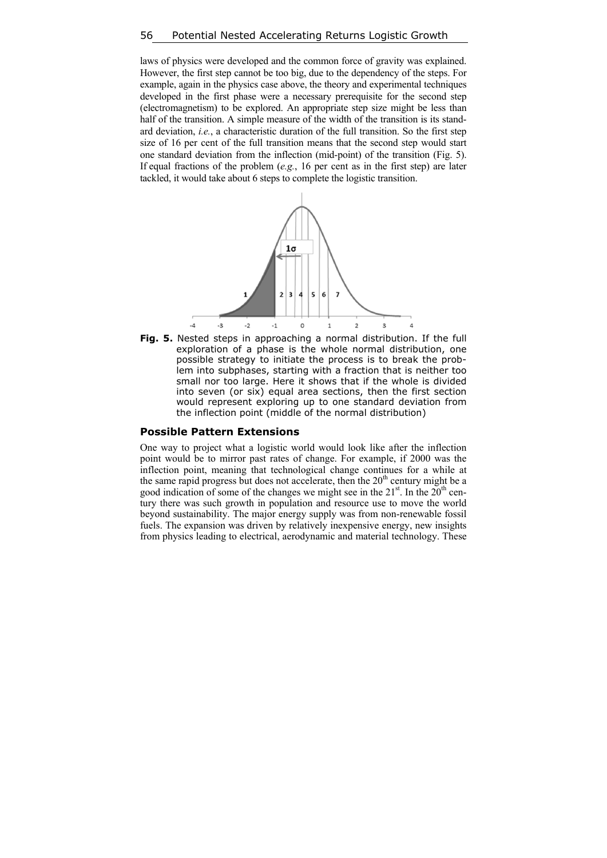laws of physics were developed and the common force of gravity was explained. However, the first step cannot be too big, due to the dependency of the steps. For example, again in the physics case above, the theory and experimental techniques developed in the first phase were a necessary prerequisite for the second step (electromagnetism) to be explored. An appropriate step size might be less than half of the transition. A simple measure of the width of the transition is its standard deviation, *i.e.*, a characteristic duration of the full transition. So the first step size of 16 per cent of the full transition means that the second step would start one standard deviation from the inflection (mid-point) of the transition (Fig. 5). If equal fractions of the problem (*e.g.*, 16 per cent as in the first step) are later tackled, it would take about 6 steps to complete the logistic transition.



**Fig. 5.** Nested steps in approaching a normal distribution. If the full exploration of a phase is the whole normal distribution, one possible strategy to initiate the process is to break the problem into subphases, starting with a fraction that is neither too small nor too large. Here it shows that if the whole is divided into seven (or six) equal area sections, then the first section would represent exploring up to one standard deviation from the inflection point (middle of the normal distribution)

#### **Possible Pattern Extensions**

One way to project what a logistic world would look like after the inflection point would be to mirror past rates of change. For example, if 2000 was the inflection point, meaning that technological change continues for a while at the same rapid progress but does not accelerate, then the  $20<sup>th</sup>$  century might be a good indication of some of the changes we might see in the  $21<sup>st</sup>$ . In the  $20<sup>th</sup>$  century there was such growth in population and resource use to move the world beyond sustainability. The major energy supply was from non-renewable fossil fuels. The expansion was driven by relatively inexpensive energy, new insights from physics leading to electrical, aerodynamic and material technology. These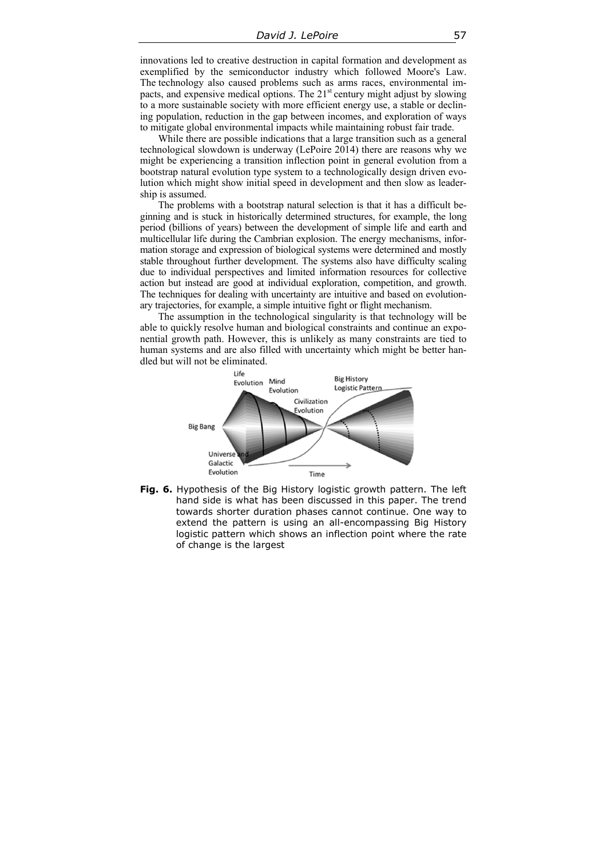innovations led to creative destruction in capital formation and development as exemplified by the semiconductor industry which followed Moore's Law. The technology also caused problems such as arms races, environmental impacts, and expensive medical options. The  $21<sup>st</sup>$  century might adjust by slowing to a more sustainable society with more efficient energy use, a stable or declining population, reduction in the gap between incomes, and exploration of ways to mitigate global environmental impacts while maintaining robust fair trade.

While there are possible indications that a large transition such as a general technological slowdown is underway (LePoire 2014) there are reasons why we might be experiencing a transition inflection point in general evolution from a bootstrap natural evolution type system to a technologically design driven evolution which might show initial speed in development and then slow as leadership is assumed.

The problems with a bootstrap natural selection is that it has a difficult beginning and is stuck in historically determined structures, for example, the long period (billions of years) between the development of simple life and earth and multicellular life during the Cambrian explosion. The energy mechanisms, information storage and expression of biological systems were determined and mostly stable throughout further development. The systems also have difficulty scaling due to individual perspectives and limited information resources for collective action but instead are good at individual exploration, competition, and growth. The techniques for dealing with uncertainty are intuitive and based on evolutionary trajectories, for example, a simple intuitive fight or flight mechanism.

The assumption in the technological singularity is that technology will be able to quickly resolve human and biological constraints and continue an exponential growth path. However, this is unlikely as many constraints are tied to human systems and are also filled with uncertainty which might be better handled but will not be eliminated.



**Fig. 6.** Hypothesis of the Big History logistic growth pattern. The left hand side is what has been discussed in this paper. The trend towards shorter duration phases cannot continue. One way to extend the pattern is using an all-encompassing Big History logistic pattern which shows an inflection point where the rate of change is the largest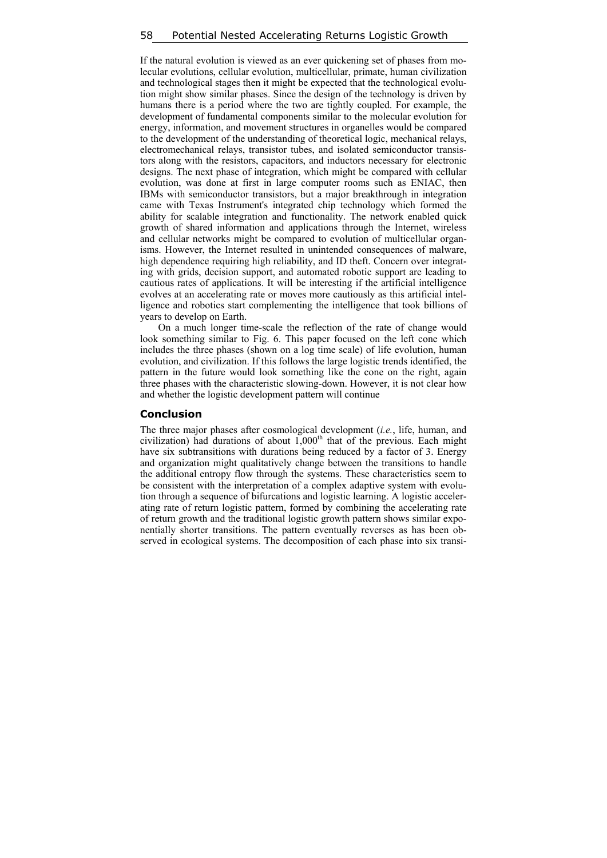If the natural evolution is viewed as an ever quickening set of phases from molecular evolutions, cellular evolution, multicellular, primate, human civilization and technological stages then it might be expected that the technological evolution might show similar phases. Since the design of the technology is driven by humans there is a period where the two are tightly coupled. For example, the development of fundamental components similar to the molecular evolution for energy, information, and movement structures in organelles would be compared to the development of the understanding of theoretical logic, mechanical relays, electromechanical relays, transistor tubes, and isolated semiconductor transistors along with the resistors, capacitors, and inductors necessary for electronic designs. The next phase of integration, which might be compared with cellular evolution, was done at first in large computer rooms such as ENIAC, then IBMs with semiconductor transistors, but a major breakthrough in integration came with Texas Instrument's integrated chip technology which formed the ability for scalable integration and functionality. The network enabled quick growth of shared information and applications through the Internet, wireless and cellular networks might be compared to evolution of multicellular organisms. However, the Internet resulted in unintended consequences of malware, high dependence requiring high reliability, and ID theft. Concern over integrating with grids, decision support, and automated robotic support are leading to cautious rates of applications. It will be interesting if the artificial intelligence evolves at an accelerating rate or moves more cautiously as this artificial intelligence and robotics start complementing the intelligence that took billions of years to develop on Earth.

On a much longer time-scale the reflection of the rate of change would look something similar to Fig. 6. This paper focused on the left cone which includes the three phases (shown on a log time scale) of life evolution, human evolution, and civilization. If this follows the large logistic trends identified, the pattern in the future would look something like the cone on the right, again three phases with the characteristic slowing-down. However, it is not clear how and whether the logistic development pattern will continue

#### **Conclusion**

The three major phases after cosmological development (*i.e.*, life, human, and civilization) had durations of about  $1,000<sup>th</sup>$  that of the previous. Each might have six subtransitions with durations being reduced by a factor of 3. Energy and organization might qualitatively change between the transitions to handle the additional entropy flow through the systems. These characteristics seem to be consistent with the interpretation of a complex adaptive system with evolution through a sequence of bifurcations and logistic learning. A logistic accelerating rate of return logistic pattern, formed by combining the accelerating rate of return growth and the traditional logistic growth pattern shows similar exponentially shorter transitions. The pattern eventually reverses as has been observed in ecological systems. The decomposition of each phase into six transi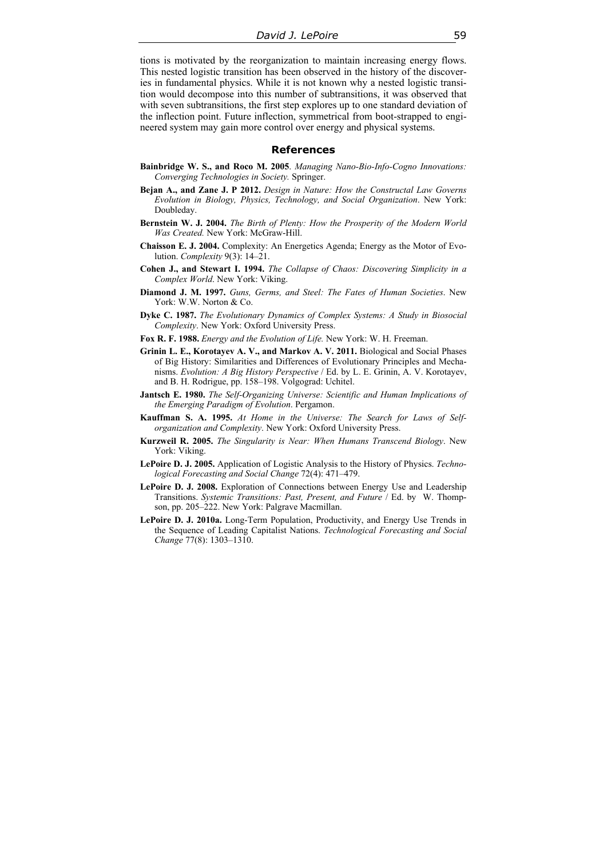tions is motivated by the reorganization to maintain increasing energy flows. This nested logistic transition has been observed in the history of the discoveries in fundamental physics. While it is not known why a nested logistic transition would decompose into this number of subtransitions, it was observed that with seven subtransitions, the first step explores up to one standard deviation of the inflection point. Future inflection, symmetrical from boot-strapped to engineered system may gain more control over energy and physical systems.

#### **References**

- **Bainbridge W. S., and Roco M. 2005**. *Managing Nano-Bio-Info-Cogno Innovations: Converging Technologies in Society.* Springer.
- **Bejan A., and Zane J. P 2012.** *Design in Nature: How the Constructal Law Governs Evolution in Biology, Physics, Technology, and Social Organization*. New York: Doubleday.
- **Bernstein W. J. 2004.** *The Birth of Plenty: How the Prosperity of the Modern World Was Created.* New York: McGraw-Hill.
- **Chaisson E. J. 2004.** Complexity: An Energetics Agenda; Energy as the Motor of Evolution. *Complexity* 9(3): 14–21.
- **Cohen J., and Stewart I. 1994.** *The Collapse of Chaos: Discovering Simplicity in a Complex World*. New York: Viking.
- **Diamond J. M. 1997.** *Guns, Germs, and Steel: The Fates of Human Societies*. New York: W.W. Norton & Co.
- **Dyke C. 1987.** *The Evolutionary Dynamics of Complex Systems: A Study in Biosocial Complexity*. New York: Oxford University Press.
- **Fox R. F. 1988.** *Energy and the Evolution of Life.* New York: W. H. Freeman.
- **Grinin L. E., Korotayev A. V., and Markov A. V. 2011.** Biological and Social Phases of Big History: Similarities and Differences of Evolutionary Principles and Mechanisms. *Evolution: A Big History Perspective* / Ed. by L. E. Grinin, A. V. Korotayev, and B. H. Rodrigue, pp. 158–198. Volgograd: Uchitel.
- **Jantsch E. 1980.** *The Self-Organizing Universe: Scientific and Human Implications of the Emerging Paradigm of Evolution*. Pergamon.
- **Kauffman S. A. 1995.** *At Home in the Universe: The Search for Laws of Selforganization and Complexity*. New York: Oxford University Press.
- **Kurzweil R. 2005.** *The Singularity is Near: When Humans Transcend Biology*. New York: Viking.
- **LePoire D. J. 2005.** Application of Logistic Analysis to the History of Physics. *Technological Forecasting and Social Change* 72(4): 471–479.
- **LePoire D. J. 2008.** Exploration of Connections between Energy Use and Leadership Transitions. *Systemic Transitions: Past, Present, and Future* / Ed. by W. Thompson, pp. 205–222. New York: Palgrave Macmillan.
- **LePoire D. J. 2010a.** Long-Term Population, Productivity, and Energy Use Trends in the Sequence of Leading Capitalist Nations. *Technological Forecasting and Social Change* 77(8): 1303–1310.